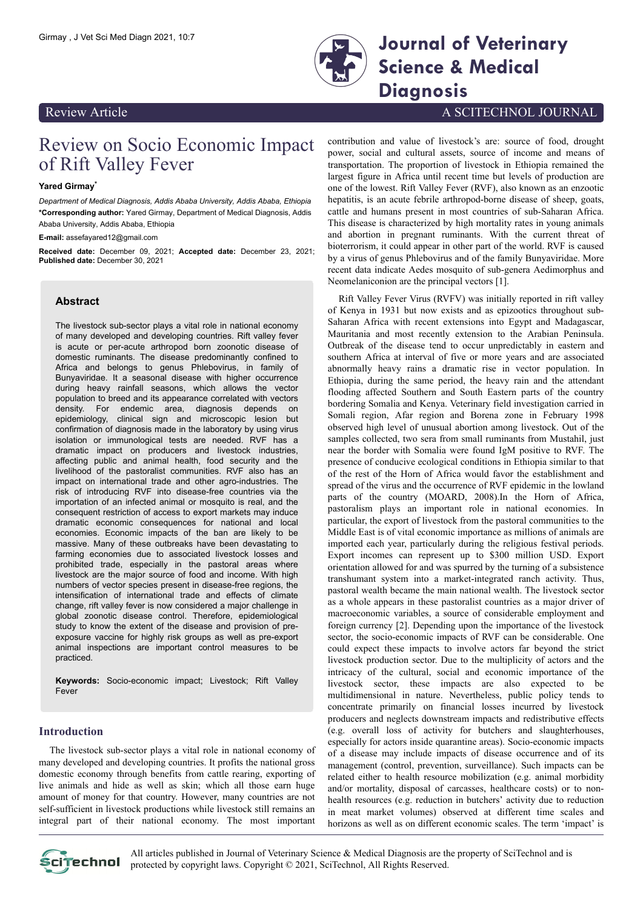

Girmay , J Vet Sci Med Diagn 2021, 10:7 **Journal of Veterinary Science & Medical Diagnosis**

# Review Article A SCITECHNOL JOURNAL

# Review on Socio Economic Impact of Rift Valley Fever

#### **Yared Girmay\***

*Department of Medical Diagnosis, Addis Ababa University, Addis Ababa, Ethiopia* **\*Corresponding author:** Yared Girmay, Department of Medical Diagnosis, Addis Ababa University, Addis Ababa, Ethiopia

**E-mail:** assefayared12@gmail.com

**Received date:** December 09, 2021; **Accepted date:** December 23, 2021; **Published date:** December 30, 2021

# **Abstract**

The livestock sub-sector plays a vital role in national economy of many developed and developing countries. Rift valley fever is acute or per-acute arthropod born zoonotic disease of domestic ruminants. The disease predominantly confined to Africa and belongs to genus Phlebovirus, in family of Bunyaviridae. It a seasonal disease with higher occurrence during heavy rainfall seasons, which allows the vector population to breed and its appearance correlated with vectors density. For endemic area, diagnosis depends on epidemiology, clinical sign and microscopic lesion but confirmation of diagnosis made in the laboratory by using virus isolation or immunological tests are needed. RVF has a dramatic impact on producers and livestock industries, affecting public and animal health, food security and the livelihood of the pastoralist communities. RVF also has an impact on international trade and other agro-industries. The risk of introducing RVF into disease-free countries via the importation of an infected animal or mosquito is real, and the consequent restriction of access to export markets may induce dramatic economic consequences for national and local economies. Economic impacts of the ban are likely to be massive. Many of these outbreaks have been devastating to farming economies due to associated livestock losses and prohibited trade, especially in the pastoral areas where livestock are the major source of food and income. With high numbers of vector species present in disease-free regions, the intensification of international trade and effects of climate change, rift valley fever is now considered a major challenge in global zoonotic disease control. Therefore, epidemiological study to know the extent of the disease and provision of preexposure vaccine for highly risk groups as well as pre-export animal inspections are important control measures to be practiced.

**Keywords:** Socio-economic impact; Livestock; Rift Valley Fever

# **Introduction**

The livestock sub-sector plays a vital role in national economy of many developed and developing countries. It profits the national gross domestic economy through benefits from cattle rearing, exporting of live animals and hide as well as skin; which all those earn huge amount of money for that country. However, many countries are not self-sufficient in livestock productions while livestock still remains an integral part of their national economy. The most important

contribution and value of livestock's are: source of food, drought power, social and cultural assets, source of income and means of transportation. The proportion of livestock in Ethiopia remained the largest figure in Africa until recent time but levels of production are one of the lowest. Rift Valley Fever (RVF), also known as an enzootic hepatitis, is an acute febrile arthropod-borne disease of sheep, goats, cattle and humans present in most countries of sub-Saharan Africa. This disease is characterized by high mortality rates in young animals and abortion in pregnant ruminants. With the current threat of bioterrorism, it could appear in other part of the world. RVF is caused by a virus of genus Phlebovirus and of the family Bunyaviridae. More recent data indicate Aedes mosquito of sub-genera Aedimorphus and Neomelaniconion are the principal vectors [1].

Rift Valley Fever Virus (RVFV) was initially reported in rift valley of Kenya in 1931 but now exists and as epizootics throughout sub-Saharan Africa with recent extensions into Egypt and Madagascar, Mauritania and most recently extension to the Arabian Peninsula. Outbreak of the disease tend to occur unpredictably in eastern and southern Africa at interval of five or more years and are associated abnormally heavy rains a dramatic rise in vector population. In Ethiopia, during the same period, the heavy rain and the attendant flooding affected Southern and South Eastern parts of the country bordering Somalia and Kenya. Veterinary field investigation carried in Somali region, Afar region and Borena zone in February 1998 observed high level of unusual abortion among livestock. Out of the samples collected, two sera from small ruminants from Mustahil, just near the border with Somalia were found IgM positive to RVF. The presence of conducive ecological conditions in Ethiopia similar to that of the rest of the Horn of Africa would favor the establishment and spread of the virus and the occurrence of RVF epidemic in the lowland parts of the country (MOARD, 2008).In the Horn of Africa, pastoralism plays an important role in national economies. In particular, the export of livestock from the pastoral communities to the Middle East is of vital economic importance as millions of animals are imported each year, particularly during the religious festival periods. Export incomes can represent up to \$300 million USD. Export orientation allowed for and was spurred by the turning of a subsistence transhumant system into a market-integrated ranch activity. Thus, pastoral wealth became the main national wealth. The livestock sector as a whole appears in these pastoralist countries as a major driver of macroeconomic variables, a source of considerable employment and foreign currency [2]. Depending upon the importance of the livestock sector, the socio-economic impacts of RVF can be considerable. One could expect these impacts to involve actors far beyond the strict livestock production sector. Due to the multiplicity of actors and the intricacy of the cultural, social and economic importance of the livestock sector, these impacts are also expected to be multidimensional in nature. Nevertheless, public policy tends to concentrate primarily on financial losses incurred by livestock producers and neglects downstream impacts and redistributive effects (e.g. overall loss of activity for butchers and slaughterhouses, especially for actors inside quarantine areas). Socio-economic impacts of a disease may include impacts of disease occurrence and of its management (control, prevention, surveillance). Such impacts can be related either to health resource mobilization (e.g. animal morbidity and/or mortality, disposal of carcasses, healthcare costs) or to nonhealth resources (e.g. reduction in butchers' activity due to reduction in meat market volumes) observed at different time scales and horizons as well as on different economic scales. The term 'impact' is



All articles published in Journal of Veterinary Science & Medical Diagnosis are the property of SciTechnol and is  $\overrightarrow{p}$ Cipechnol protected by copyright laws. Copyright © 2021, SciTechnol, All Rights Reserved.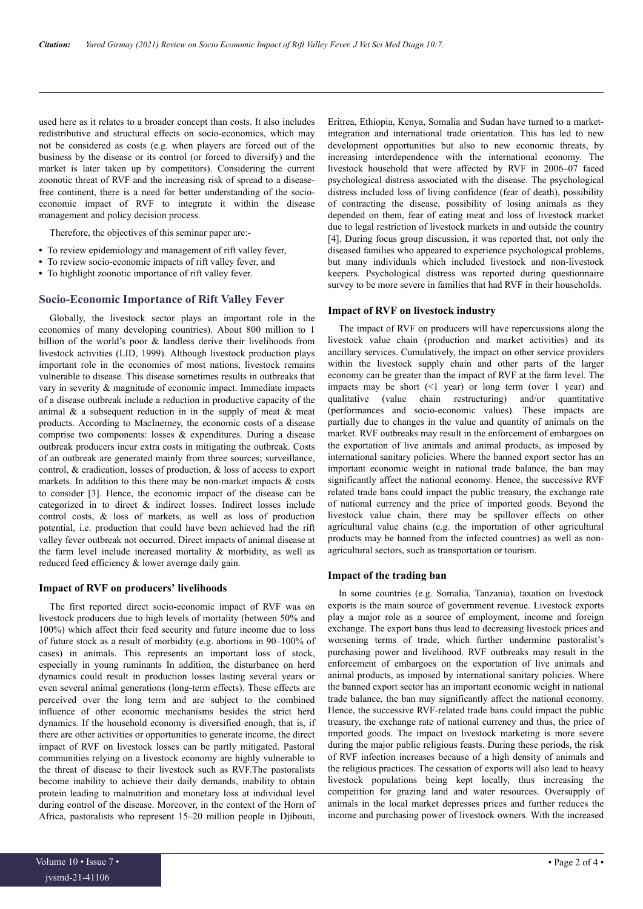used here as it relates to a broader concept than costs. It also includes redistributive and structural effects on socio-economics, which may not be considered as costs (e.g. when players are forced out of the business by the disease or its control (or forced to diversify) and the market is later taken up by competitors). Considering the current zoonotic threat of RVF and the increasing risk of spread to a diseasefree continent, there is a need for better understanding of the socioeconomic impact of RVF to integrate it within the disease management and policy decision process.

Therefore, the objectives of this seminar paper are:-

- **•** To review epidemiology and management of rift valley fever,
- **•** To review socio-economic impacts of rift valley fever, and
- **•** To highlight zoonotic importance of rift valley fever.

#### **Socio-Economic Importance of Rift Valley Fever**

Globally, the livestock sector plays an important role in the economies of many developing countries). About 800 million to 1 billion of the world's poor & landless derive their livelihoods from livestock activities (LID, 1999). Although livestock production plays important role in the economies of most nations, livestock remains vulnerable to disease. This disease sometimes results in outbreaks that vary in severity & magnitude of economic impact. Immediate impacts of a disease outbreak include a reduction in productive capacity of the animal  $\&$  a subsequent reduction in in the supply of meat  $\&$  meat products. According to MacInerney, the economic costs of a disease comprise two components: losses & expenditures. During a disease outbreak producers incur extra costs in mitigating the outbreak. Costs of an outbreak are generated mainly from three sources; surveillance, control, & eradication, losses of production, & loss of access to export markets. In addition to this there may be non-market impacts  $\&$  costs to consider [3]. Hence, the economic impact of the disease can be categorized in to direct & indirect losses. Indirect losses include control costs, & loss of markets, as well as loss of production potential, i.e. production that could have been achieved had the rift valley fever outbreak not occurred. Direct impacts of animal disease at the farm level include increased mortality & morbidity, as well as reduced feed efficiency & lower average daily gain.

#### **Impact of RVF on producers' livelihoods**

The first reported direct socio-economic impact of RVF was on livestock producers due to high levels of mortality (between 50% and 100%) which affect their feed security and future income due to loss of future stock as a result of morbidity (e.g. abortions in 90–100% of cases) in animals. This represents an important loss of stock, especially in young ruminants In addition, the disturbance on herd dynamics could result in production losses lasting several years or even several animal generations (long-term effects). These effects are perceived over the long term and are subject to the combined influence of other economic mechanisms besides the strict herd dynamics. If the household economy is diversified enough, that is, if there are other activities or opportunities to generate income, the direct impact of RVF on livestock losses can be partly mitigated. Pastoral communities relying on a livestock economy are highly vulnerable to the threat of disease to their livestock such as RVF.The pastoralists become inability to achieve their daily demands, inability to obtain protein leading to malnutrition and monetary loss at individual level during control of the disease. Moreover, in the context of the Horn of Africa, pastoralists who represent 15–20 million people in Djibouti,

Eritrea, Ethiopia, Kenya, Somalia and Sudan have turned to a marketintegration and international trade orientation. This has led to new development opportunities but also to new economic threats, by increasing interdependence with the international economy. The livestock household that were affected by RVF in 2006–07 faced psychological distress associated with the disease. The psychological distress included loss of living confidence (fear of death), possibility of contracting the disease, possibility of losing animals as they depended on them, fear of eating meat and loss of livestock market due to legal restriction of livestock markets in and outside the country [4]. During focus group discussion, it was reported that, not only the diseased families who appeared to experience psychological problems, but many individuals which included livestock and non-livestock keepers. Psychological distress was reported during questionnaire survey to be more severe in families that had RVF in their households.

#### **Impact of RVF on livestock industry**

The impact of RVF on producers will have repercussions along the livestock value chain (production and market activities) and its ancillary services. Cumulatively, the impact on other service providers within the livestock supply chain and other parts of the larger economy can be greater than the impact of RVF at the farm level. The impacts may be short  $(1$  year) or long term (over 1 year) and qualitative (value chain restructuring) and/or quantitative (performances and socio-economic values). These impacts are partially due to changes in the value and quantity of animals on the market. RVF outbreaks may result in the enforcement of embargoes on the exportation of live animals and animal products, as imposed by international sanitary policies. Where the banned export sector has an important economic weight in national trade balance, the ban may significantly affect the national economy. Hence, the successive RVF related trade bans could impact the public treasury, the exchange rate of national currency and the price of imported goods. Beyond the livestock value chain, there may be spillover effects on other agricultural value chains (e.g. the importation of other agricultural products may be banned from the infected countries) as well as nonagricultural sectors, such as transportation or tourism.

#### **Impact of the trading ban**

In some countries (e.g. Somalia, Tanzania), taxation on livestock exports is the main source of government revenue. Livestock exports play a major role as a source of employment, income and foreign exchange. The export bans thus lead to decreasing livestock prices and worsening terms of trade, which further undermine pastoralist's purchasing power and livelihood. RVF outbreaks may result in the enforcement of embargoes on the exportation of live animals and animal products, as imposed by international sanitary policies. Where the banned export sector has an important economic weight in national trade balance, the ban may significantly affect the national economy. Hence, the successive RVF-related trade bans could impact the public treasury, the exchange rate of national currency and thus, the price of imported goods. The impact on livestock marketing is more severe during the major public religious feasts. During these periods, the risk of RVF infection increases because of a high density of animals and the religious practices. The cessation of exports will also lead to heavy livestock populations being kept locally, thus increasing the competition for grazing land and water resources. Oversupply of animals in the local market depresses prices and further reduces the income and purchasing power of livestock owners. With the increased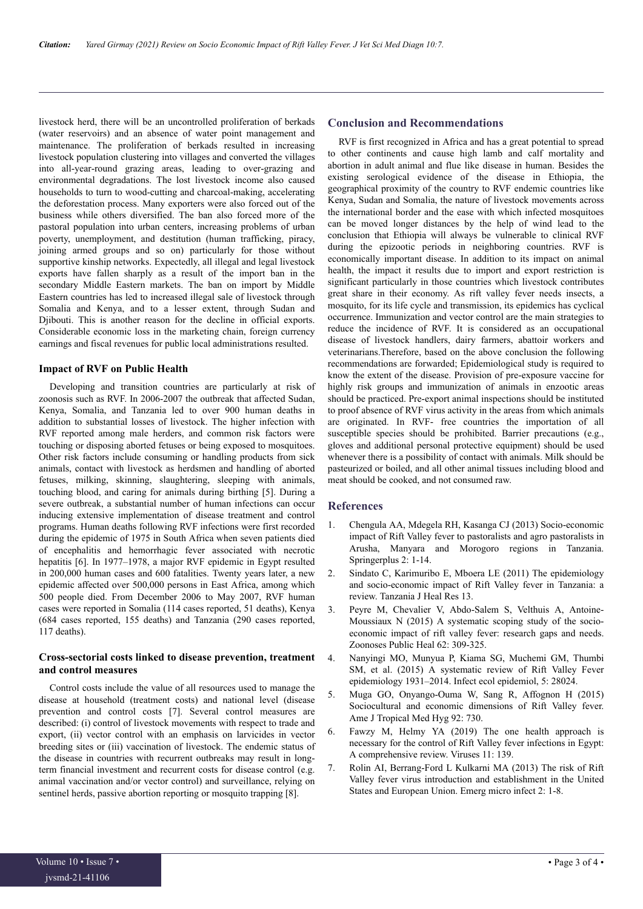livestock herd, there will be an uncontrolled proliferation of berkads (water reservoirs) and an absence of water point management and maintenance. The proliferation of berkads resulted in increasing livestock population clustering into villages and converted the villages into all‐year‐round grazing areas, leading to over‐grazing and environmental degradations. The lost livestock income also caused households to turn to wood-cutting and charcoal-making, accelerating the deforestation process. Many exporters were also forced out of the business while others diversified. The ban also forced more of the pastoral population into urban centers, increasing problems of urban poverty, unemployment, and destitution (human trafficking, piracy, joining armed groups and so on) particularly for those without supportive kinship networks. Expectedly, all illegal and legal livestock exports have fallen sharply as a result of the import ban in the secondary Middle Eastern markets. The ban on import by Middle Eastern countries has led to increased illegal sale of livestock through Somalia and Kenya, and to a lesser extent, through Sudan and Djibouti. This is another reason for the decline in official exports. Considerable economic loss in the marketing chain, foreign currency earnings and fiscal revenues for public local administrations resulted.

### **Impact of RVF on Public Health**

Developing and transition countries are particularly at risk of zoonosis such as RVF. In 2006-2007 the outbreak that affected Sudan, Kenya, Somalia, and Tanzania led to over 900 human deaths in addition to substantial losses of livestock. The higher infection with RVF reported among male herders, and common risk factors were touching or disposing aborted fetuses or being exposed to mosquitoes. Other risk factors include consuming or handling products from sick animals, contact with livestock as herdsmen and handling of aborted fetuses, milking, skinning, slaughtering, sleeping with animals, touching blood, and caring for animals during birthing [5]. During a severe outbreak, a substantial number of human infections can occur inducing extensive implementation of disease treatment and control programs. Human deaths following RVF infections were first recorded during the epidemic of 1975 in South Africa when seven patients died of encephalitis and hemorrhagic fever associated with necrotic hepatitis [6]. In 1977–1978, a major RVF epidemic in Egypt resulted in 200,000 human cases and 600 fatalities. Twenty years later, a new epidemic affected over 500,000 persons in East Africa, among which 500 people died. From December 2006 to May 2007, RVF human cases were reported in Somalia (114 cases reported, 51 deaths), Kenya (684 cases reported, 155 deaths) and Tanzania (290 cases reported, 117 deaths).

## **Cross-sectorial costs linked to disease prevention, treatment and control measures**

Control costs include the value of all resources used to manage the disease at household (treatment costs) and national level (disease prevention and control costs [7]. Several control measures are described: (i) control of livestock movements with respect to trade and export, (ii) vector control with an emphasis on larvicides in vector breeding sites or (iii) vaccination of livestock. The endemic status of the disease in countries with recurrent outbreaks may result in longterm financial investment and recurrent costs for disease control (e.g. animal vaccination and/or vector control) and surveillance, relying on sentinel herds, passive abortion reporting or mosquito trapping [8].

# **Conclusion and Recommendations**

RVF is first recognized in Africa and has a great potential to spread to other continents and cause high lamb and calf mortality and abortion in adult animal and flue like disease in human. Besides the existing serological evidence of the disease in Ethiopia, the geographical proximity of the country to RVF endemic countries like Kenya, Sudan and Somalia, the nature of livestock movements across the international border and the ease with which infected mosquitoes can be moved longer distances by the help of wind lead to the conclusion that Ethiopia will always be vulnerable to clinical RVF during the epizootic periods in neighboring countries. RVF is economically important disease. In addition to its impact on animal health, the impact it results due to import and export restriction is significant particularly in those countries which livestock contributes great share in their economy. As rift valley fever needs insects, a mosquito, for its life cycle and transmission, its epidemics has cyclical occurrence. Immunization and vector control are the main strategies to reduce the incidence of RVF. It is considered as an occupational disease of livestock handlers, dairy farmers, abattoir workers and veterinarians.Therefore, based on the above conclusion the following recommendations are forwarded; Epidemiological study is required to know the extent of the disease. Provision of pre-exposure vaccine for highly risk groups and immunization of animals in enzootic areas should be practiced. Pre-export animal inspections should be instituted to proof absence of RVF virus activity in the areas from which animals are originated. In RVF- free countries the importation of all susceptible species should be prohibited. Barrier precautions (e.g., gloves and additional personal protective equipment) should be used whenever there is a possibility of contact with animals. Milk should be pasteurized or boiled, and all other animal tissues including blood and meat should be cooked, and not consumed raw.

# **References**

- 1. [Chengula AA, Mdegela RH, Kasanga CJ \(2013\) Socio-economic](https://doi.org/10.1186/2193-1801-2-549) [impact of Rift Valley fever to pastoralists and agro pastoralists in](https://doi.org/10.1186/2193-1801-2-549) [Arusha, Manyara and Morogoro regions in Tanzania.](https://doi.org/10.1186/2193-1801-2-549) [Springerplus 2: 1-14.](https://doi.org/10.1186/2193-1801-2-549)
- 2. [Sindato C, Karimuribo E, Mboera LE \(2011\) The epidemiology](https://doi.org/10.4314/thrb.v13i5.1) [and socio-economic impact of Rift Valley fever in Tanzania: a](https://doi.org/10.4314/thrb.v13i5.1) [review. Tanzania J Heal Res 13.](https://doi.org/10.4314/thrb.v13i5.1)
- 3. [Peyre M, Chevalier V, Abdo‐Salem S, Velthuis A, Antoine‐](https://doi.org/10.1111/zph.12153) [Moussiaux N \(2015\) A systematic scoping study of the socio‐](https://doi.org/10.1111/zph.12153) [economic impact of rift valley fever: research gaps and needs.](https://doi.org/10.1111/zph.12153) [Zoonoses Public Heal 62: 309-325.](https://doi.org/10.1111/zph.12153)
- 4. [Nanyingi MO, Munyua P, Kiama SG, Muchemi GM, Thumbi](https://doi.org/10.3402/iee.v5.28024) [SM, et al. \(2015\) A systematic review of Rift Valley Fever](https://doi.org/10.3402/iee.v5.28024) [epidemiology 1931–2014. Infect ecol epidemiol, 5: 28024.](https://doi.org/10.3402/iee.v5.28024)
- 5. [Muga GO, Onyango-Ouma W, Sang R, Affognon H \(2015\)](https://dx.doi.org/10.4269%2Fajtmh.14-0363) [Sociocultural and economic dimensions of Rift Valley fever.](https://dx.doi.org/10.4269%2Fajtmh.14-0363) [Ame J Tropical Med Hyg 92: 730.](https://dx.doi.org/10.4269%2Fajtmh.14-0363)
- 6. [Fawzy M, Helmy YA \(2019\) The one health approach is](https://doi.org/10.3390/v11020139) [necessary for the control of Rift Valley fever infections in Egypt:](https://doi.org/10.3390/v11020139) [A comprehensive review. Viruses 11: 139.](https://doi.org/10.3390/v11020139)
- 7. [Rolin AI, Berrang-Ford L Kulkarni MA \(2013\) The risk of Rift](https://doi.org/10.1038/emi.2013.81) [Valley fever virus introduction and establishment in the United](https://doi.org/10.1038/emi.2013.81) [States and European Union. Emerg micro infect 2: 1-8.](https://doi.org/10.1038/emi.2013.81)